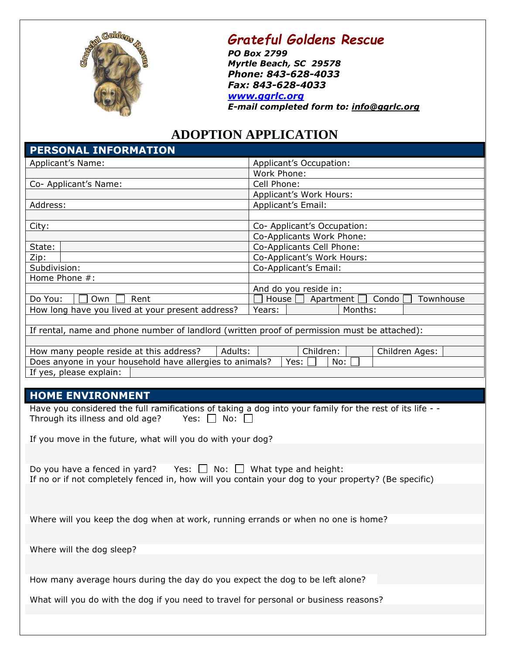

## *Grateful Goldens Rescue*

*PO Box 2799 Myrtle Beach, SC 29578 Phone: 843-628-4033 Fax: 843-628-4033 [www.ggrlc.org](http://www.ggrlc.org/)*

*E-mail completed form to: [info@ggrlc.org](mailto:adopt@wildheirlabradorrescue.org)*

## **ADOPTION APPLICATION**

| PERSONAL INFORMATION                                                                                                                                                   |                                                     |  |  |  |  |
|------------------------------------------------------------------------------------------------------------------------------------------------------------------------|-----------------------------------------------------|--|--|--|--|
| Applicant's Name:                                                                                                                                                      | Applicant's Occupation:                             |  |  |  |  |
|                                                                                                                                                                        | Work Phone:                                         |  |  |  |  |
| Co- Applicant's Name:                                                                                                                                                  | Cell Phone:                                         |  |  |  |  |
|                                                                                                                                                                        | Applicant's Work Hours:                             |  |  |  |  |
| Address:                                                                                                                                                               | Applicant's Email:                                  |  |  |  |  |
|                                                                                                                                                                        |                                                     |  |  |  |  |
| City:                                                                                                                                                                  | Co- Applicant's Occupation:                         |  |  |  |  |
|                                                                                                                                                                        | Co-Applicants Work Phone:                           |  |  |  |  |
| State:                                                                                                                                                                 | Co-Applicants Cell Phone:                           |  |  |  |  |
| Zip:                                                                                                                                                                   | Co-Applicant's Work Hours:                          |  |  |  |  |
| Subdivision:                                                                                                                                                           | Co-Applicant's Email:                               |  |  |  |  |
| Home Phone #:                                                                                                                                                          |                                                     |  |  |  |  |
|                                                                                                                                                                        | And do you reside in:                               |  |  |  |  |
| Do You:<br>Own<br>Rent                                                                                                                                                 | House<br>Apartment<br>Condo<br>Townhouse<br>Months: |  |  |  |  |
| How long have you lived at your present address?                                                                                                                       | Years:                                              |  |  |  |  |
| If rental, name and phone number of landlord (written proof of permission must be attached):                                                                           |                                                     |  |  |  |  |
|                                                                                                                                                                        |                                                     |  |  |  |  |
| How many people reside at this address?<br>Adults:                                                                                                                     | Children:<br>Children Ages:                         |  |  |  |  |
| Does anyone in your household have allergies to animals?                                                                                                               | No:<br>Yes:                                         |  |  |  |  |
| If yes, please explain:                                                                                                                                                |                                                     |  |  |  |  |
|                                                                                                                                                                        |                                                     |  |  |  |  |
| <b>HOME ENVIRONMENT</b>                                                                                                                                                |                                                     |  |  |  |  |
|                                                                                                                                                                        |                                                     |  |  |  |  |
| Have you considered the full ramifications of taking a dog into your family for the rest of its life - -<br>Through its illness and old age?<br>Yes: $\Box$ No: $\Box$ |                                                     |  |  |  |  |
|                                                                                                                                                                        |                                                     |  |  |  |  |
| If you move in the future, what will you do with your dog?                                                                                                             |                                                     |  |  |  |  |
|                                                                                                                                                                        |                                                     |  |  |  |  |
|                                                                                                                                                                        |                                                     |  |  |  |  |
| Do you have a fenced in yard? Yes: $\Box$ No: $\Box$ What type and height:                                                                                             |                                                     |  |  |  |  |
| If no or if not completely fenced in, how will you contain your dog to your property? (Be specific)                                                                    |                                                     |  |  |  |  |
|                                                                                                                                                                        |                                                     |  |  |  |  |
|                                                                                                                                                                        |                                                     |  |  |  |  |
|                                                                                                                                                                        |                                                     |  |  |  |  |
| Where will you keep the dog when at work, running errands or when no one is home?                                                                                      |                                                     |  |  |  |  |
|                                                                                                                                                                        |                                                     |  |  |  |  |
| Where will the dog sleep?                                                                                                                                              |                                                     |  |  |  |  |
|                                                                                                                                                                        |                                                     |  |  |  |  |
|                                                                                                                                                                        |                                                     |  |  |  |  |
| How many average hours during the day do you expect the dog to be left alone?                                                                                          |                                                     |  |  |  |  |
|                                                                                                                                                                        |                                                     |  |  |  |  |

What will you do with the dog if you need to travel for personal or business reasons?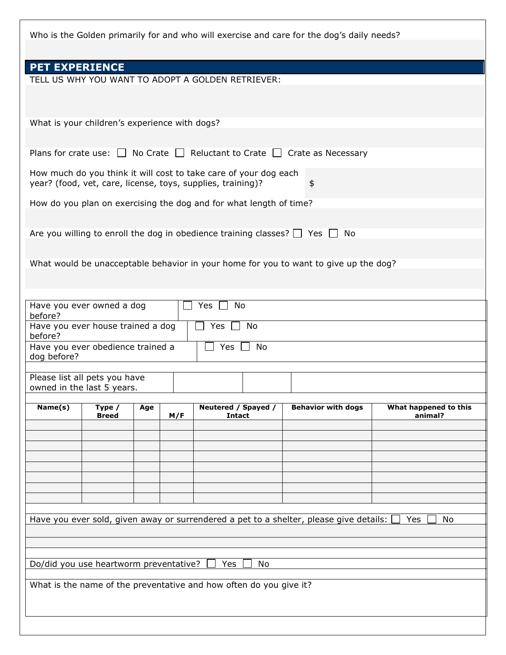Who is the Golden primarily for and who will exercise and care for the dog's daily needs? **PET EXPERIENCE** TELL US WHY YOU WANT TO ADOPT A GOLDEN RETRIEVER: What is your children's experience with dogs? Plans for crate use:  $\Box$  No Crate  $\Box$  Reluctant to Crate  $\Box$  Crate as Necessary How much do you think it will cost to take care of your dog each year? (food, vet, care, license, toys, supplies, training)? How do you plan on exercising the dog and for what length of time? Are you willing to enroll the dog in obedience training classes?  $\Box$  Yes  $\Box$  No What would be unacceptable behavior in your home for you to want to give up the dog? Have you ever owned a dog before? Yes  $\Box$  No Have you ever house trained a dog before? Yes  $\Box$  No Have you ever obedience trained a dog before? Yes  $\Box$  No Please list all pets you have owned in the last 5 years. **Name(s) Type / Breed Age M/F Neutered / Spayed / Intact Behavior with dogs What happened to this animal?** Have you ever sold, given away or surrendered a pet to a shelter, please give details:  $\Box$  Yes  $\Box$  No Do/did you use heartworm preventative?  $\Box$  Yes  $\Box$  No What is the name of the preventative and how often do you give it?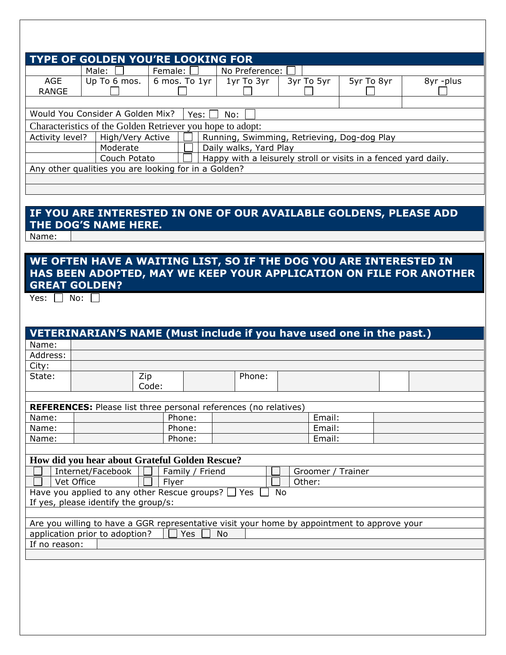| TYPE OF GOLDEN YOU'RE LOOKING FOR                                                  |                                  |                                                            |                |            |            |           |
|------------------------------------------------------------------------------------|----------------------------------|------------------------------------------------------------|----------------|------------|------------|-----------|
|                                                                                    | Male:                            | Female:                                                    | No Preference: |            |            |           |
| <b>AGE</b>                                                                         | Up To 6 mos.                     | 6 mos. To 1yr                                              | 1yr To 3yr     | 3yr To 5yr | 5yr To 8yr | 8yr -plus |
| RANGE                                                                              |                                  |                                                            |                |            |            |           |
|                                                                                    |                                  |                                                            |                |            |            |           |
|                                                                                    | Would You Consider A Golden Mix? | Yes:                                                       | No:            |            |            |           |
|                                                                                    |                                  | Characteristics of the Golden Retriever you hope to adopt: |                |            |            |           |
| High/Very Active<br>Running, Swimming, Retrieving, Dog-dog Play<br>Activity level? |                                  |                                                            |                |            |            |           |
| Moderate<br>Daily walks, Yard Play                                                 |                                  |                                                            |                |            |            |           |
| Happy with a leisurely stroll or visits in a fenced yard daily.<br>Couch Potato    |                                  |                                                            |                |            |            |           |
| Any other qualities you are looking for in a Golden?                               |                                  |                                                            |                |            |            |           |
|                                                                                    |                                  |                                                            |                |            |            |           |
|                                                                                    |                                  |                                                            |                |            |            |           |
|                                                                                    |                                  |                                                            |                |            |            |           |
| IF YOU ARE INTERESTED IN ONE OF OUR AVAILABLE GOLDENS, PLEASE ADD                  |                                  |                                                            |                |            |            |           |
| THE DOG'S NAME HERE.                                                               |                                  |                                                            |                |            |            |           |
| Name:                                                                              |                                  |                                                            |                |            |            |           |

## **WE OFTEN HAVE A WAITING LIST, SO IF THE DOG YOU ARE INTERESTED IN HAS BEEN ADOPTED, MAY WE KEEP YOUR APPLICATION ON FILE FOR ANOTHER GREAT GOLDEN?**

Yes:  $\Box$  No:  $\Box$ 

|                                                                                             | VETERINARIAN'S NAME (Must include if you have used one in the past.)    |        |                 |  |        |  |                   |  |
|---------------------------------------------------------------------------------------------|-------------------------------------------------------------------------|--------|-----------------|--|--------|--|-------------------|--|
| Name:                                                                                       |                                                                         |        |                 |  |        |  |                   |  |
| Address:                                                                                    |                                                                         |        |                 |  |        |  |                   |  |
| City:                                                                                       |                                                                         |        |                 |  |        |  |                   |  |
| State:                                                                                      | Zip                                                                     |        |                 |  | Phone: |  |                   |  |
|                                                                                             |                                                                         | Code:  |                 |  |        |  |                   |  |
|                                                                                             |                                                                         |        |                 |  |        |  |                   |  |
|                                                                                             | <b>REFERENCES:</b> Please list three personal references (no relatives) |        |                 |  |        |  |                   |  |
| Name:                                                                                       |                                                                         | Phone: |                 |  |        |  | Email:            |  |
| Name:                                                                                       |                                                                         | Phone: |                 |  |        |  | Email:            |  |
| Name:                                                                                       |                                                                         | Phone: |                 |  |        |  | Email:            |  |
|                                                                                             |                                                                         |        |                 |  |        |  |                   |  |
|                                                                                             | How did you hear about Grateful Golden Rescue?                          |        |                 |  |        |  |                   |  |
|                                                                                             | Internet/Facebook                                                       |        | Family / Friend |  |        |  | Groomer / Trainer |  |
|                                                                                             | Vet Office<br>Other:<br>Flyer                                           |        |                 |  |        |  |                   |  |
| Have you applied to any other Rescue groups? $\Box$ Yes<br><b>No</b>                        |                                                                         |        |                 |  |        |  |                   |  |
| If yes, please identify the group/s:                                                        |                                                                         |        |                 |  |        |  |                   |  |
|                                                                                             |                                                                         |        |                 |  |        |  |                   |  |
| Are you willing to have a GGR representative visit your home by appointment to approve your |                                                                         |        |                 |  |        |  |                   |  |
| application prior to adoption?<br><b>Yes</b><br><b>No</b>                                   |                                                                         |        |                 |  |        |  |                   |  |
| If no reason:                                                                               |                                                                         |        |                 |  |        |  |                   |  |
|                                                                                             |                                                                         |        |                 |  |        |  |                   |  |
|                                                                                             |                                                                         |        |                 |  |        |  |                   |  |
|                                                                                             |                                                                         |        |                 |  |        |  |                   |  |
|                                                                                             |                                                                         |        |                 |  |        |  |                   |  |